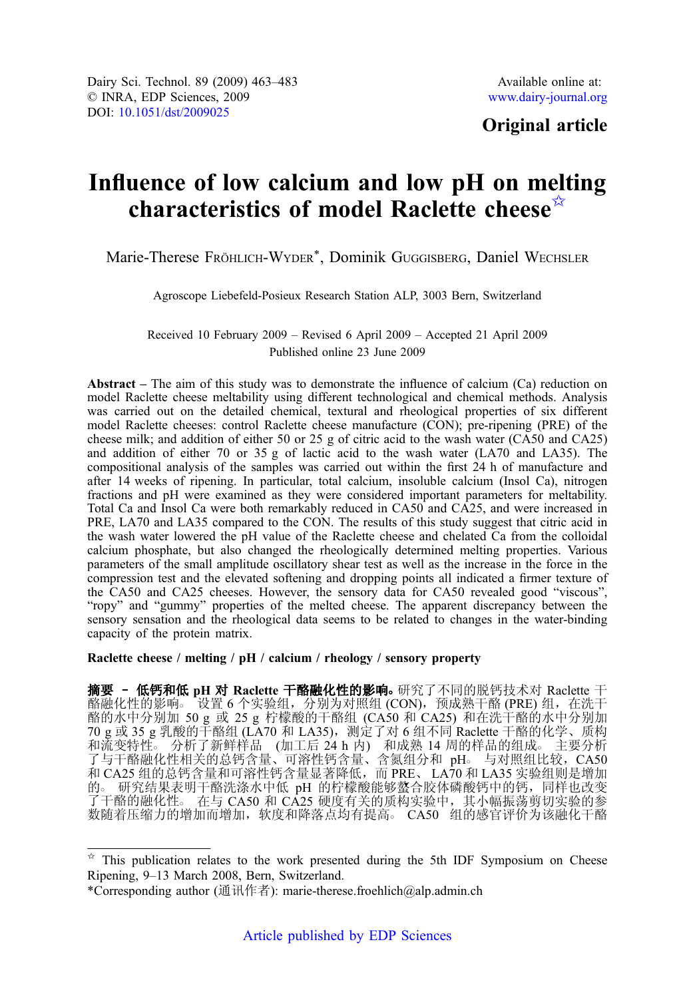## Original article

# Influence of low calcium and low pH on melting characteristics of model Raclette cheese $\vec{X}$

Marie-Therese FRÖHLICH-WYDER\*, Dominik GUGGISBERG, Daniel WECHSLER

Agroscope Liebefeld-Posieux Research Station ALP, 3003 Bern, Switzerland

Received 10 February 2009 – Revised 6 April 2009 – Accepted 21 April 2009 Published online 23 June 2009

Abstract – The aim of this study was to demonstrate the influence of calcium  $(Ca)$  reduction on model Raclette cheese meltability using different technological and chemical methods. Analysis was carried out on the detailed chemical, textural and rheological properties of six different model Raclette cheeses: control Raclette cheese manufacture (CON); pre-ripening (PRE) of the cheese milk; and addition of either 50 or 25 g of citric acid to the wash water (CA50 and CA25) and addition of either 70 or 35 g of lactic acid to the wash water (LA70 and LA35). The compositional analysis of the samples was carried out within the first 24 h of manufacture and after 14 weeks of ripening. In particular, total calcium, insoluble calcium (Insol Ca), nitrogen fractions and pH were examined as they were considered important parameters for meltability. Total Ca and Insol Ca were both remarkably reduced in CA50 and CA25, and were increased in PRE, LA70 and LA35 compared to the CON. The results of this study suggest that citric acid in the wash water lowered the pH value of the Raclette cheese and chelated Ca from the colloidal calcium phosphate, but also changed the rheologically determined melting properties. Various parameters of the small amplitude oscillatory shear test as well as the increase in the force in the compression test and the elevated softening and dropping points all indicated a firmer texture of the CA50 and CA25 cheeses. However, the sensory data for CA50 revealed good "viscous", "ropy" and "gummy" properties of the melted cheese. The apparent discrepancy between the sensory sensation and the rheological data seems to be related to changes in the water-binding capacity of the protein matrix.

Raclette cheese / melting / pH / calcium / rheology / sensory property

摘要 - 低钙和低 pH 对 Raclette 干酪融化性的影响。研究了不同的脱钙技术对 Raclette 干 酪融化性的影响。 设置 6 个实验组, 分别为对照组 (CON), 预成熟干酪 (PRE) 组, 在洗干 酪的水中分别加 50 g 或 25 g 柠檬酸的干酪组 (CA50 和 CA25) 和在洗干酪的水中分别加 70 g 或 35 g 乳酸的干酪组 (LA70 和 LA35),测定了对 6 组不同 Raclette 干酪的化学、质构 和流变特性。 分析了新鲜样品 (加工后 24 h 内) 和成熟 14 周的样品的组成。 主要分析 了与干酪融化性相关的总钙含量、可溶性钙含量、含氮组分和 pH。 与对照组比较, CA50 和 CA25 组的总钙含量和可溶性钙含量显著降低,而 PRE、 LA70 和 LA35 实验组则是增加 的○ 研究结果表明干酪洗涤水中低 pH 的柠檬酸能够螯合胶体磷酸钙中的钙,同样也改变 了干酪的融化性。 在与 CA50 和 CA25 硬度有关的质构实验中, 其小幅振荡剪切实验的参 数随着压缩力的增加而增加,软度和降落点均有提高。 CA50 组的感官评价为该融化干酪

 $*$  This publication relates to the work presented during the 5th IDF Symposium on Cheese Ripening, 9–13 March 2008, Bern, Switzerland.

<sup>\*</sup>Corresponding author (通讯作者): marie-therese.froehlich@alp.admin.ch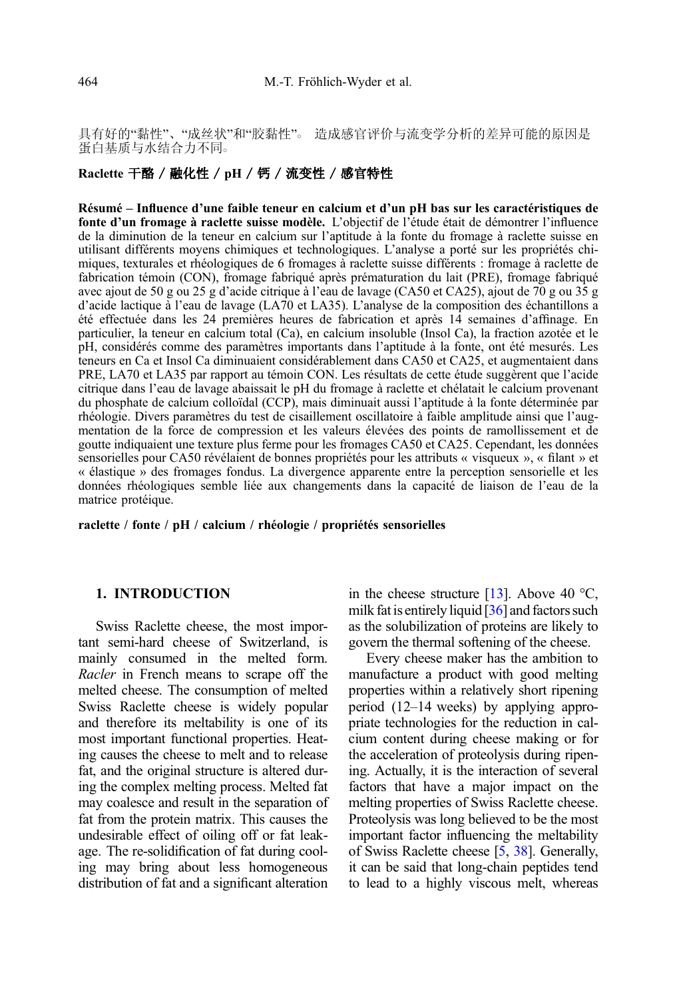具有好的"黏性"、"成丝状"和"胶黏性"。 造成感官评价与流变学分析的差异可能的原因是 蛋白基质与水结合力不同。

## Raclette 干酪 / 融化性 / pH / 钙 / 流变性 / 感官特性

Résumé – Influence d'une faible teneur en calcium et d'un pH bas sur les caractéristiques de fonte d'un fromage à raclette suisse modèle. L'objectif de l'étude était de démontrer l'influence de la diminution de la teneur en calcium sur l'aptitude à la fonte du fromage à raclette suisse en utilisant différents moyens chimiques et technologiques. L'analyse a porté sur les propriétés chimiques, texturales et rhéologiques de 6 fromages à raclette suisse différents : fromage à raclette de fabrication témoin (CON), fromage fabriqué après prématuration du lait (PRE), fromage fabriqué avec ajout de 50 g ou 25 g d'acide citrique à l'eau de lavage (CA50 et CA25), ajout de 70 g ou 35 g d'acide lactique à l'eau de lavage (LA70 et LA35). L'analyse de la composition des échantillons a été effectuée dans les 24 premières heures de fabrication et après 14 semaines d'affinage. En particulier, la teneur en calcium total (Ca), en calcium insoluble (Insol Ca), la fraction azotée et le pH, considérés comme des paramètres importants dans l'aptitude à la fonte, ont été mesurés. Les teneurs en Ca et Insol Ca diminuaient considérablement dans CA50 et CA25, et augmentaient dans PRE, LA70 et LA35 par rapport au témoin CON. Les résultats de cette étude suggèrent que l'acide citrique dans l'eau de lavage abaissait le pH du fromage à raclette et chélatait le calcium provenant du phosphate de calcium colloïdal (CCP), mais diminuait aussi l'aptitude à la fonte déterminée par rhéologie. Divers paramètres du test de cisaillement oscillatoire à faible amplitude ainsi que l'augmentation de la force de compression et les valeurs élevées des points de ramollissement et de goutte indiquaient une texture plus ferme pour les fromages CA50 et CA25. Cependant, les données sensorielles pour CA50 révélaient de bonnes propriétés pour les attributs « visqueux », « filant » et « élastique » des fromages fondus. La divergence apparente entre la perception sensorielle et les données rhéologiques semble liée aux changements dans la capacité de liaison de l'eau de la matrice protéique.

raclette / fonte / pH / calcium / rhéologie / propriétés sensorielles

## 1. INTRODUCTION

Swiss Raclette cheese, the most important semi-hard cheese of Switzerland, is mainly consumed in the melted form. Racler in French means to scrape off the melted cheese. The consumption of melted Swiss Raclette cheese is widely popular and therefore its meltability is one of its most important functional properties. Heating causes the cheese to melt and to release fat, and the original structure is altered during the complex melting process. Melted fat may coalesce and result in the separation of fat from the protein matrix. This causes the undesirable effect of oiling off or fat leakage. The re-solidification of fat during cooling may bring about less homogeneous distribution of fat and a significant alteration in the cheese structure [\[13\]](#page-19-0). Above 40  $^{\circ}$ C, milk fat is entirely liquid [\[36\]](#page-20-0) and factors such as the solubilization of proteins are likely to govern the thermal softening of the cheese.

Every cheese maker has the ambition to manufacture a product with good melting properties within a relatively short ripening period (12–14 weeks) by applying appropriate technologies for the reduction in calcium content during cheese making or for the acceleration of proteolysis during ripening. Actually, it is the interaction of several factors that have a major impact on the melting properties of Swiss Raclette cheese. Proteolysis was long believed to be the most important factor influencing the meltability of Swiss Raclette cheese [[5,](#page-18-0) [38\]](#page-20-0). Generally, it can be said that long-chain peptides tend to lead to a highly viscous melt, whereas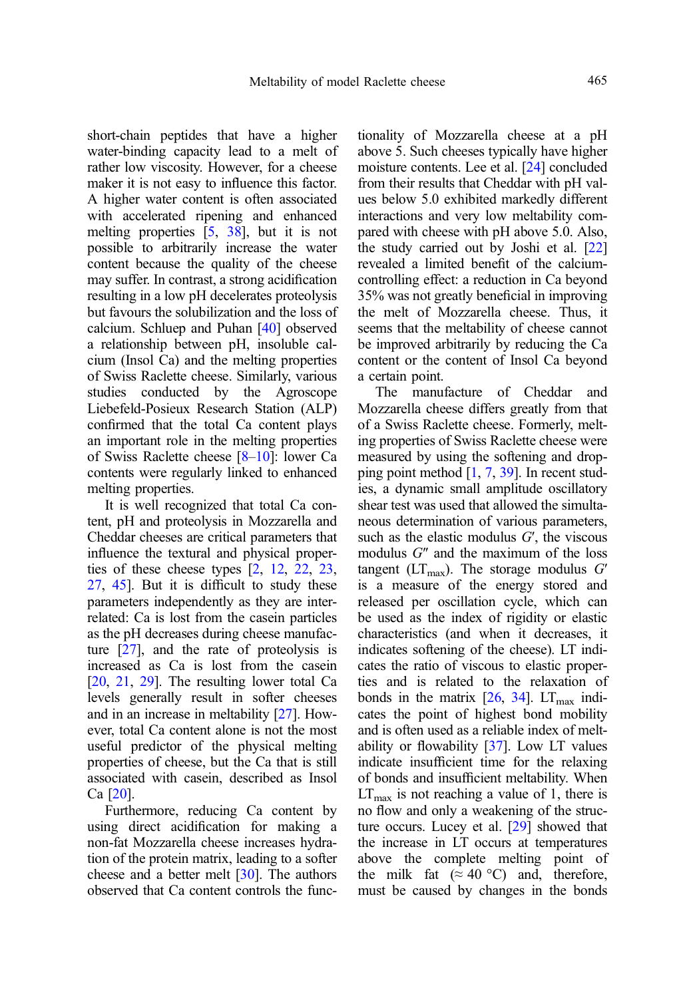short-chain peptides that have a higher water-binding capacity lead to a melt of rather low viscosity. However, for a cheese maker it is not easy to influence this factor. A higher water content is often associated with accelerated ripening and enhanced melting properties [[5](#page-18-0), [38](#page-20-0)], but it is not possible to arbitrarily increase the water content because the quality of the cheese may suffer. In contrast, a strong acidification resulting in a low pH decelerates proteolysis but favours the solubilization and the loss of calcium. Schluep and Puhan [\[40](#page-20-0)] observed a relationship between pH, insoluble calcium (Insol Ca) and the melting properties of Swiss Raclette cheese. Similarly, various studies conducted by the Agroscope Liebefeld-Posieux Research Station (ALP) confirmed that the total Ca content plays an important role in the melting properties of Swiss Raclette cheese [\[8](#page-18-0)–[10\]](#page-18-0): lower Ca contents were regularly linked to enhanced melting properties.

It is well recognized that total Ca content, pH and proteolysis in Mozzarella and Cheddar cheeses are critical parameters that influence the textural and physical properties of these cheese types [\[2,](#page-18-0) [12,](#page-19-0) [22](#page-19-0), [23](#page-19-0), [27](#page-19-0), [45](#page-20-0)]. But it is difficult to study these parameters independently as they are interrelated: Ca is lost from the casein particles as the pH decreases during cheese manufacture [\[27\]](#page-19-0), and the rate of proteolysis is increased as Ca is lost from the casein [[20](#page-19-0), [21,](#page-19-0) [29](#page-19-0)]. The resulting lower total Ca levels generally result in softer cheeses and in an increase in meltability [[27](#page-19-0)]. However, total Ca content alone is not the most useful predictor of the physical melting properties of cheese, but the Ca that is still associated with casein, described as Insol Ca [[20](#page-19-0)].

Furthermore, reducing Ca content by using direct acidification for making a non-fat Mozzarella cheese increases hydration of the protein matrix, leading to a softer cheese and a better melt  $[30]$  $[30]$  $[30]$ . The authors observed that Ca content controls the functionality of Mozzarella cheese at a pH above 5. Such cheeses typically have higher moisture contents. Lee et al. [[24](#page-19-0)] concluded from their results that Cheddar with pH values below 5.0 exhibited markedly different interactions and very low meltability compared with cheese with pH above 5.0. Also, the study carried out by Joshi et al. [\[22\]](#page-19-0) revealed a limited benefit of the calciumcontrolling effect: a reduction in Ca beyond 35% was not greatly beneficial in improving the melt of Mozzarella cheese. Thus, it seems that the meltability of cheese cannot be improved arbitrarily by reducing the Ca content or the content of Insol Ca beyond a certain point.

The manufacture of Cheddar and Mozzarella cheese differs greatly from that of a Swiss Raclette cheese. Formerly, melting properties of Swiss Raclette cheese were measured by using the softening and dropping point method [[1](#page-18-0), [7](#page-18-0), [39](#page-20-0)]. In recent studies, a dynamic small amplitude oscillatory shear test was used that allowed the simultaneous determination of various parameters, such as the elastic modulus  $G'$ , the viscous modulus G″ and the maximum of the loss tangent ( $LT_{\text{max}}$ ). The storage modulus  $G'$ is a measure of the energy stored and released per oscillation cycle, which can be used as the index of rigidity or elastic characteristics (and when it decreases, it indicates softening of the cheese). LT indicates the ratio of viscous to elastic properties and is related to the relaxation of bonds in the matrix  $[26, 34]$  $[26, 34]$  $[26, 34]$  $[26, 34]$  $[26, 34]$ . LT<sub>max</sub> indicates the point of highest bond mobility and is often used as a reliable index of meltability or flowability [\[37\]](#page-20-0). Low LT values indicate insufficient time for the relaxing of bonds and insufficient meltability. When  $LT_{\text{max}}$  is not reaching a value of 1, there is no flow and only a weakening of the structure occurs. Lucey et al. [\[29\]](#page-19-0) showed that the increase in LT occurs at temperatures above the complete melting point of the milk fat ( $\approx 40$  °C) and, therefore, must be caused by changes in the bonds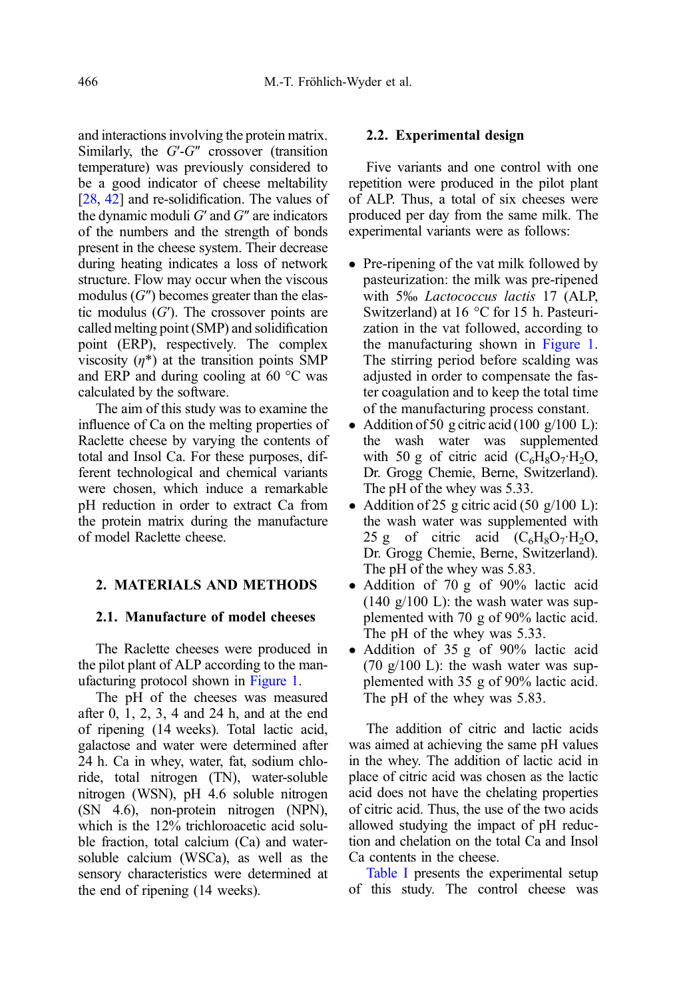and interactions involving the protein matrix. Similarly, the  $G-G''$  crossover (transition temperature) was previously considered to be a good indicator of cheese meltability [\[28](#page-19-0), [42](#page-20-0)] and re-solidification. The values of the dynamic moduli  $G'$  and  $G''$  are indicators of the numbers and the strength of bonds present in the cheese system. Their decrease during heating indicates a loss of network structure. Flow may occur when the viscous modulus  $(G'')$  becomes greater than the elastic modulus  $(G')$ . The crossover points are called melting point (SMP) and solidification point (ERP), respectively. The complex viscosity  $(\eta^*)$  at the transition points SMP and ERP and during cooling at 60 °C was calculated by the software.

The aim of this study was to examine the influence of Ca on the melting properties of Raclette cheese by varying the contents of total and Insol Ca. For these purposes, different technological and chemical variants were chosen, which induce a remarkable pH reduction in order to extract Ca from the protein matrix during the manufacture of model Raclette cheese.

#### 2. MATERIALS AND METHODS

#### 2.1. Manufacture of model cheeses

The Raclette cheeses were produced in the pilot plant of ALP according to the manufacturing protocol shown in [Figure 1](#page-4-0).

The pH of the cheeses was measured after 0, 1, 2, 3, 4 and 24 h, and at the end of ripening (14 weeks). Total lactic acid, galactose and water were determined after 24 h. Ca in whey, water, fat, sodium chloride, total nitrogen (TN), water-soluble nitrogen (WSN), pH 4.6 soluble nitrogen (SN 4.6), non-protein nitrogen (NPN), which is the 12% trichloroacetic acid soluble fraction, total calcium (Ca) and watersoluble calcium (WSCa), as well as the sensory characteristics were determined at the end of ripening (14 weeks).

#### 2.2. Experimental design

Five variants and one control with one repetition were produced in the pilot plant of ALP. Thus, a total of six cheeses were produced per day from the same milk. The experimental variants were as follows:

- Pre-ripening of the vat milk followed by pasteurization: the milk was pre-ripened with 5‰ Lactococcus lactis 17 (ALP, Switzerland) at 16 °C for 15 h. Pasteurization in the vat followed, according to the manufacturing shown in [Figure 1](#page-4-0). The stirring period before scalding was adjusted in order to compensate the faster coagulation and to keep the total time of the manufacturing process constant.
- Addition of 50 g citric acid (100 g/100 L): the wash water was supplemented with 50 g of citric acid  $(C_6H_8O_7 \cdot H_2O,$ Dr. Grogg Chemie, Berne, Switzerland). The pH of the whey was 5.33.
- Addition of 25 g citric acid (50 g/100 L): the wash water was supplemented with 25 g of citric acid  $(C_6H_8O_7 \cdot H_2O,$ Dr. Grogg Chemie, Berne, Switzerland). The pH of the whey was 5.83.
- Addition of 70 g of 90% lactic acid  $(140 \text{ g}/100 \text{ L})$ : the wash water was supplemented with 70 g of 90% lactic acid. The pH of the whey was 5.33.
- Addition of 35 g of 90% lactic acid (70  $g/100$  L): the wash water was supplemented with 35 g of 90% lactic acid. The pH of the whey was 5.83.

The addition of citric and lactic acids was aimed at achieving the same pH values in the whey. The addition of lactic acid in place of citric acid was chosen as the lactic acid does not have the chelating properties of citric acid. Thus, the use of the two acids allowed studying the impact of pH reduction and chelation on the total Ca and Insol Ca contents in the cheese.

[Table I](#page-5-0) presents the experimental setup of this study. The control cheese was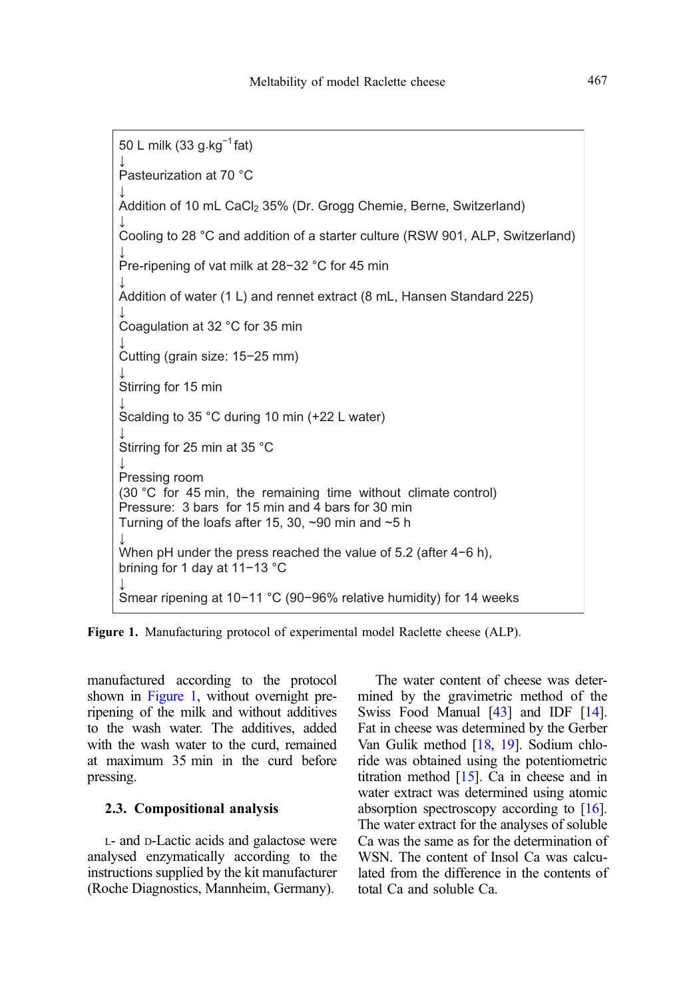<span id="page-4-0"></span>

Figure 1. Manufacturing protocol of experimental model Raclette cheese (ALP).

manufactured according to the protocol shown in Figure 1, without overnight preripening of the milk and without additives to the wash water. The additives, added with the wash water to the curd, remained at maximum 35 min in the curd before pressing.

#### 2.3. Compositional analysis

L- and D-Lactic acids and galactose were analysed enzymatically according to the instructions supplied by the kit manufacturer (Roche Diagnostics, Mannheim, Germany).

The water content of cheese was determined by the gravimetric method of the Swiss Food Manual [\[43\]](#page-20-0) and IDF [[14](#page-19-0)]. Fat in cheese was determined by the Gerber Van Gulik method [[18](#page-19-0), [19\]](#page-19-0). Sodium chloride was obtained using the potentiometric titration method [[15](#page-19-0)]. Ca in cheese and in water extract was determined using atomic absorption spectroscopy according to [[16](#page-19-0)]. The water extract for the analyses of soluble Ca was the same as for the determination of WSN. The content of Insol Ca was calculated from the difference in the contents of total Ca and soluble Ca.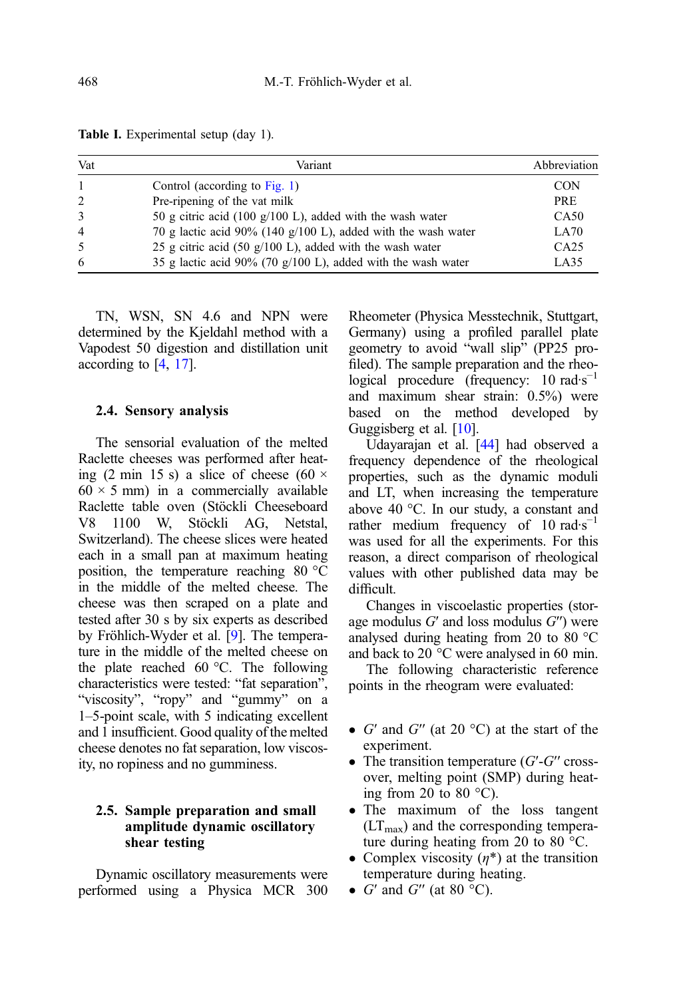<span id="page-5-0"></span>

|  | Table I. Experimental setup (day 1). |  |  |  |
|--|--------------------------------------|--|--|--|
|--|--------------------------------------|--|--|--|

| Vat          | Variant                                                       | Abbreviation     |
|--------------|---------------------------------------------------------------|------------------|
| $\mathbf{1}$ | Control (according to Fig. 1)                                 | <b>CON</b>       |
| 2            | Pre-ripening of the vat milk                                  | <b>PRE</b>       |
| 3            | 50 g citric acid (100 g/100 L), added with the wash water     | CA <sub>50</sub> |
| 4            | 70 g lactic acid 90% (140 g/100 L), added with the wash water | LA70             |
| 5            | 25 g citric acid (50 g/100 L), added with the wash water      | CA25             |
| 6            | 35 g lactic acid 90% (70 g/100 L), added with the wash water  | LA35             |

TN, WSN, SN 4.6 and NPN were determined by the Kjeldahl method with a Vapodest 50 digestion and distillation unit according to [\[4,](#page-18-0) [17](#page-19-0)].

#### 2.4. Sensory analysis

The sensorial evaluation of the melted Raclette cheeses was performed after heating (2 min 15 s) a slice of cheese (60  $\times$  $60 \times 5$  mm) in a commercially available Raclette table oven (Stöckli Cheeseboard V8 1100 W, Stöckli AG, Netstal, Switzerland). The cheese slices were heated each in a small pan at maximum heating position, the temperature reaching 80  $\degree$ C in the middle of the melted cheese. The cheese was then scraped on a plate and tested after 30 s by six experts as described by Fröhlich-Wyder et al. [\[9](#page-18-0)]. The temperature in the middle of the melted cheese on the plate reached 60  $\degree$ C. The following characteristics were tested: "fat separation", "viscosity", "ropy" and "gummy" on a 1–5-point scale, with 5 indicating excellent and 1 insufficient. Good quality of the melted cheese denotes no fat separation, low viscosity, no ropiness and no gumminess.

## 2.5. Sample preparation and small amplitude dynamic oscillatory shear testing

Dynamic oscillatory measurements were performed using a Physica MCR 300 Rheometer (Physica Messtechnik, Stuttgart, Germany) using a profiled parallel plate geometry to avoid "wall slip" (PP25 profiled). The sample preparation and the rheological procedure (frequency:  $10 \text{ rad·s}^{-1}$ and maximum shear strain: 0.5%) were based on the method developed by Guggisberg et al. [\[10\]](#page-18-0).

Udayarajan et al. [\[44\]](#page-20-0) had observed a frequency dependence of the rheological properties, such as the dynamic moduli and LT, when increasing the temperature above 40 °C. In our study, a constant and rather medium frequency of  $10 \text{ rad·s}^{-1}$ was used for all the experiments. For this reason, a direct comparison of rheological values with other published data may be difficult.

Changes in viscoelastic properties (storage modulus  $G'$  and loss modulus  $G''$ ) were analysed during heating from 20 to 80 °C and back to 20 °C were analysed in 60 min.

The following characteristic reference points in the rheogram were evaluated:

- $\bullet$  G' and G'' (at 20 °C) at the start of the experiment.
- The transition temperature  $(G'-G'$  crossover, melting point (SMP) during heating from 20 to 80 $\degree$ C).
- The maximum of the loss tangent  $(LT<sub>max</sub>)$  and the corresponding temperature during heating from 20 to 80 °C.
- Complex viscosity  $(\eta^*)$  at the transition temperature during heating.
- $G'$  and  $G''$  (at 80  $^{\circ}$ C).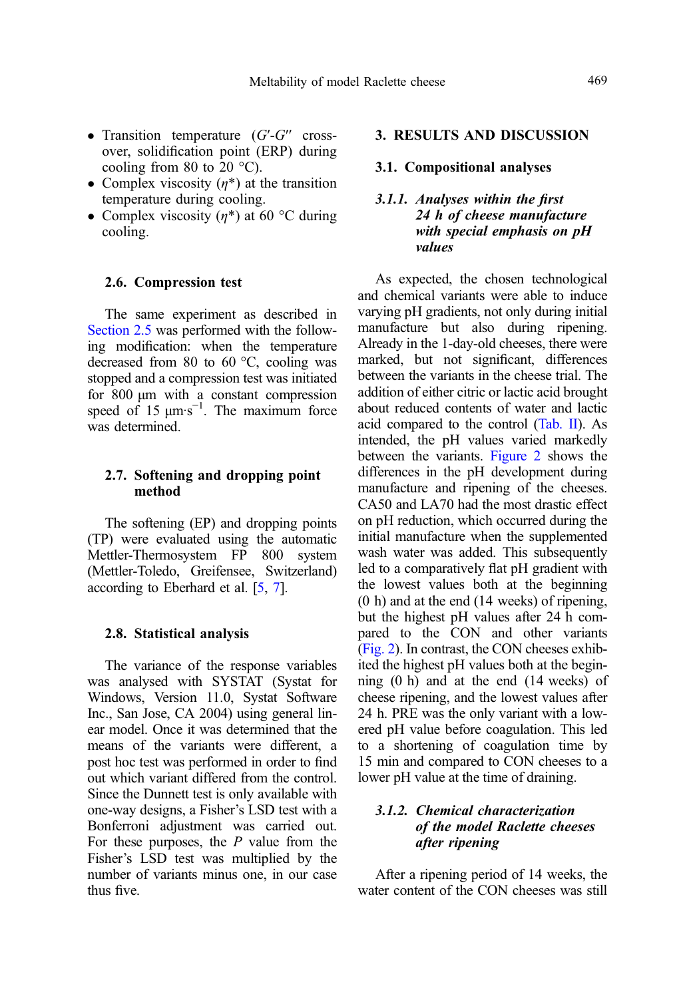- Transition temperature  $(G'-G'$  crossover, solidification point (ERP) during cooling from 80 to  $20^{\circ}$ C).
- Complex viscosity  $(n^*)$  at the transition temperature during cooling.
- Complex viscosity  $(\eta^*)$  at 60 °C during cooling.

## 2.6. Compression test

The same experiment as described in Section 2.5 was performed with the following modification: when the temperature decreased from 80 to 60 °C, cooling was stopped and a compression test was initiated for 800 μm with a constant compression speed of  $15 \mu m \cdot s^{-1}$ . The maximum force was determined.

#### 2.7. Softening and dropping point method

The softening (EP) and dropping points (TP) were evaluated using the automatic Mettler-Thermosystem FP 800 system (Mettler-Toledo, Greifensee, Switzerland) according to Eberhard et al. [\[5](#page-18-0), [7\]](#page-18-0).

#### 2.8. Statistical analysis

The variance of the response variables was analysed with SYSTAT (Systat for Windows, Version 11.0, Systat Software Inc., San Jose, CA 2004) using general linear model. Once it was determined that the means of the variants were different, a post hoc test was performed in order to find out which variant differed from the control. Since the Dunnett test is only available with one-way designs, a Fisher's LSD test with a Bonferroni adjustment was carried out. For these purposes, the  $P$  value from the Fisher's LSD test was multiplied by the number of variants minus one, in our case thus five.

#### 3. RESULTS AND DISCUSSION

## 3.1. Compositional analyses

## 3.1.1. Analyses within the first 24 h of cheese manufacture with special emphasis on pH values

As expected, the chosen technological and chemical variants were able to induce varying pH gradients, not only during initial manufacture but also during ripening. Already in the 1-day-old cheeses, there were marked, but not significant, differences between the variants in the cheese trial. The addition of either citric or lactic acid brought about reduced contents of water and lactic acid compared to the control ([Tab. II\)](#page-7-0). As intended, the pH values varied markedly between the variants. [Figure 2](#page-7-0) shows the differences in the pH development during manufacture and ripening of the cheeses. CA50 and LA70 had the most drastic effect on pH reduction, which occurred during the initial manufacture when the supplemented wash water was added. This subsequently led to a comparatively flat pH gradient with the lowest values both at the beginning (0 h) and at the end (14 weeks) of ripening, but the highest pH values after 24 h compared to the CON and other variants ([Fig. 2](#page-7-0)). In contrast, the CON cheeses exhibited the highest pH values both at the beginning (0 h) and at the end (14 weeks) of cheese ripening, and the lowest values after 24 h. PRE was the only variant with a lowered pH value before coagulation. This led to a shortening of coagulation time by 15 min and compared to CON cheeses to a lower pH value at the time of draining.

## 3.1.2. Chemical characterization of the model Raclette cheeses after ripening

After a ripening period of 14 weeks, the water content of the CON cheeses was still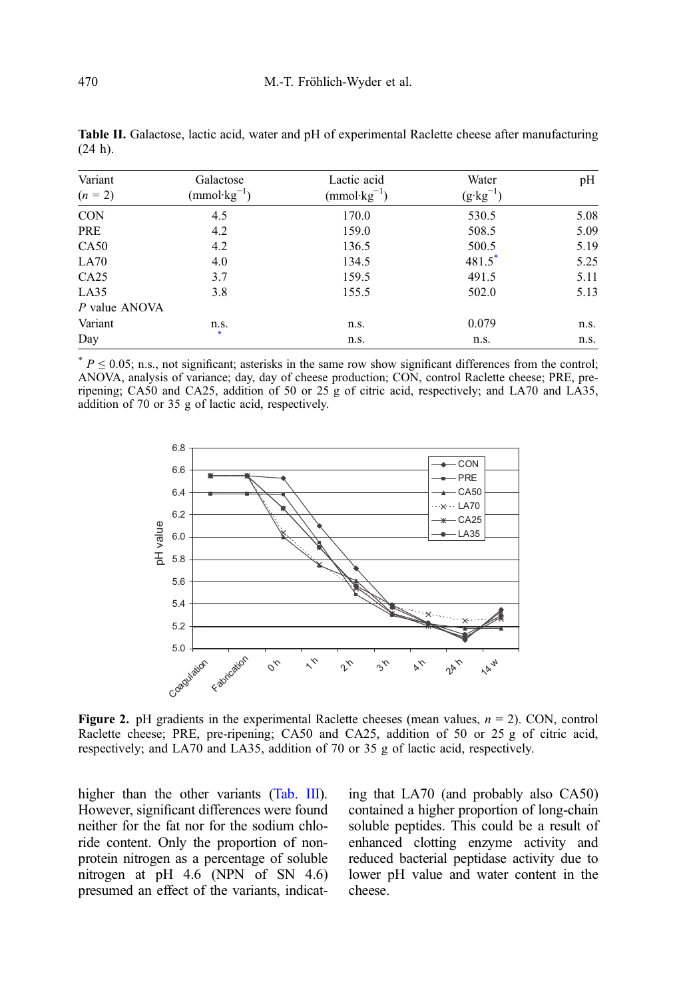| Variant<br>$(n = 2)$ | Galactose<br>$(mmol·kg^{-1})$ | Lactic acid<br>$(mmol \cdot kg^{-1})$ | Water<br>$(g \cdot kg^{-1})$ | pH   |
|----------------------|-------------------------------|---------------------------------------|------------------------------|------|
| <b>CON</b>           | 4.5                           | 170.0                                 | 530.5                        | 5.08 |
| PRE                  | 4.2                           | 159.0                                 | 508.5                        | 5.09 |
| CA50                 | 4.2                           | 136.5                                 | 500.5                        | 5.19 |
| LA70                 | 4.0                           | 134.5                                 | 481.5                        | 5.25 |
| CA25                 | 3.7                           | 159.5                                 | 491.5                        | 5.11 |
| LA35                 | 3.8                           | 155.5                                 | 502.0                        | 5.13 |
| P value ANOVA        |                               |                                       |                              |      |
| Variant              | n.s.                          | n.s.                                  | 0.079                        | n.s. |
| Day                  | *                             | n.s.                                  | n.s.                         | n.s. |

<span id="page-7-0"></span>Table II. Galactose, lactic acid, water and pH of experimental Raclette cheese after manufacturing (24 h).

 $* P \le 0.05$ ; n.s., not significant; asterisks in the same row show significant differences from the control; ANOVA, analysis of variance; day, day of cheese production; CON, control Raclette cheese; PRE, preripening; CA50 and CA25, addition of 50 or 25 g of citric acid, respectively; and LA70 and LA35, addition of 70 or 35 g of lactic acid, respectively.



**Figure 2.** pH gradients in the experimental Raclette cheeses (mean values,  $n = 2$ ). CON, control Raclette cheese; PRE, pre-ripening; CA50 and CA25, addition of 50 or 25 g of citric acid, respectively; and LA70 and LA35, addition of 70 or 35 g of lactic acid, respectively.

higher than the other variants [\(Tab. III\)](#page-8-0). However, significant differences were found neither for the fat nor for the sodium chloride content. Only the proportion of nonprotein nitrogen as a percentage of soluble nitrogen at pH 4.6 (NPN of SN 4.6) presumed an effect of the variants, indicating that LA70 (and probably also CA50) contained a higher proportion of long-chain soluble peptides. This could be a result of enhanced clotting enzyme activity and reduced bacterial peptidase activity due to lower pH value and water content in the cheese.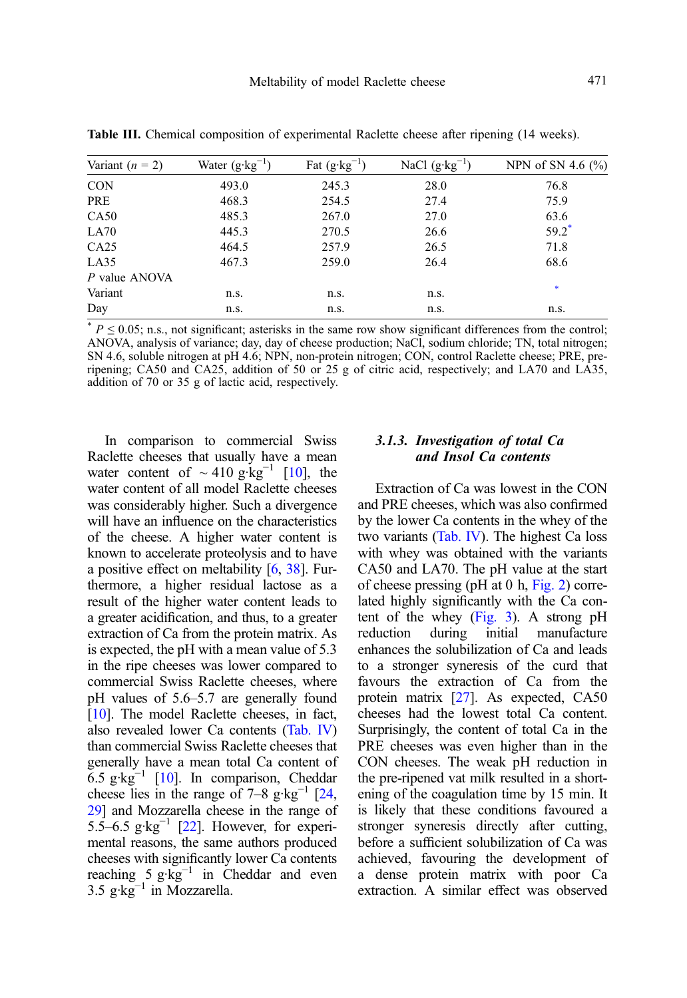| Variant $(n = 2)$ | Water $(g \cdot kg^{-1})$ | Fat $(g \cdot kg^{-1})$ | NaCl $(g \cdot kg^{-1})$ | NPN of SN 4.6 $(\% )$ |
|-------------------|---------------------------|-------------------------|--------------------------|-----------------------|
| <b>CON</b>        | 493.0                     | 245.3                   | 28.0                     | 76.8                  |
| PRE               | 468.3                     | 254.5                   | 27.4                     | 75.9                  |
| CA50              | 485.3                     | 267.0                   | 27.0                     | 63.6                  |
| LA70              | 445.3                     | 270.5                   | 26.6                     | $59.2^*$              |
| CA25              | 464.5                     | 257.9                   | 26.5                     | 71.8                  |
| LA35              | 467.3                     | 259.0                   | 26.4                     | 68.6                  |
| P value ANOVA     |                           |                         |                          |                       |
| Variant           | n.s.                      | n.s.                    | n.s.                     | *                     |

<span id="page-8-0"></span>Table III. Chemical composition of experimental Raclette cheese after ripening (14 weeks).

 $P \le 0.05$ ; n.s., not significant; asterisks in the same row show significant differences from the control; ANOVA, analysis of variance; day, day of cheese production; NaCl, sodium chloride; TN, total nitrogen; SN 4.6, soluble nitrogen at pH 4.6; NPN, non-protein nitrogen; CON, control Raclette cheese; PRE, preripening; CA50 and CA25, addition of 50 or 25 g of citric acid, respectively; and LA70 and LA35, addition of 70 or 35 g of lactic acid, respectively.

Day n.s. n.s. n.s. n.s. n.s. n.s. n.s.

In comparison to commercial Swiss Raclette cheeses that usually have a mean water content of  $\sim$  410 g·kg<sup>-1</sup> [\[10\]](#page-18-0), the water content of all model Raclette cheeses was considerably higher. Such a divergence will have an influence on the characteristics of the cheese. A higher water content is known to accelerate proteolysis and to have a positive effect on meltability [[6](#page-18-0), [38\]](#page-20-0). Furthermore, a higher residual lactose as a result of the higher water content leads to a greater acidification, and thus, to a greater extraction of Ca from the protein matrix. As is expected, the pH with a mean value of 5.3 in the ripe cheeses was lower compared to commercial Swiss Raclette cheeses, where pH values of 5.6–5.7 are generally found [[10](#page-18-0)]. The model Raclette cheeses, in fact, also revealed lower Ca contents [\(Tab. IV](#page-9-0)) than commercial Swiss Raclette cheeses that generally have a mean total Ca content of 6.5  $g \text{·kg}^{-1}$  [[10](#page-18-0)]. In comparison, Cheddar cheese lies in the range of 7–8 g·kg<sup>-1</sup> [\[24](#page-19-0), [29](#page-19-0)] and Mozzarella cheese in the range of 5.5–6.5  $g \text{·kg}^{-1}$  [\[22](#page-19-0)]. However, for experimental reasons, the same authors produced cheeses with significantly lower Ca contents reaching 5  $g \cdot kg^{-1}$  in Cheddar and even  $3.5 \text{ g·kg}^{-1}$  in Mozzarella.

## 3.1.3. Investigation of total Ca and Insol Ca contents

Extraction of Ca was lowest in the CON and PRE cheeses, which was also confirmed by the lower Ca contents in the whey of the two variants ([Tab. IV\)](#page-9-0). The highest Ca loss with whey was obtained with the variants CA50 and LA70. The pH value at the start of cheese pressing (pH at 0 h, [Fig. 2](#page-7-0)) correlated highly significantly with the Ca con-tent of the whey ([Fig. 3\)](#page-9-0). A strong pH<br>reduction during initial manufacture reduction during initial manufacture enhances the solubilization of Ca and leads to a stronger syneresis of the curd that favours the extraction of Ca from the protein matrix [[27](#page-19-0)]. As expected, CA50 cheeses had the lowest total Ca content. Surprisingly, the content of total Ca in the PRE cheeses was even higher than in the CON cheeses. The weak pH reduction in the pre-ripened vat milk resulted in a shortening of the coagulation time by 15 min. It is likely that these conditions favoured a stronger syneresis directly after cutting, before a sufficient solubilization of Ca was achieved, favouring the development of a dense protein matrix with poor Ca extraction. A similar effect was observed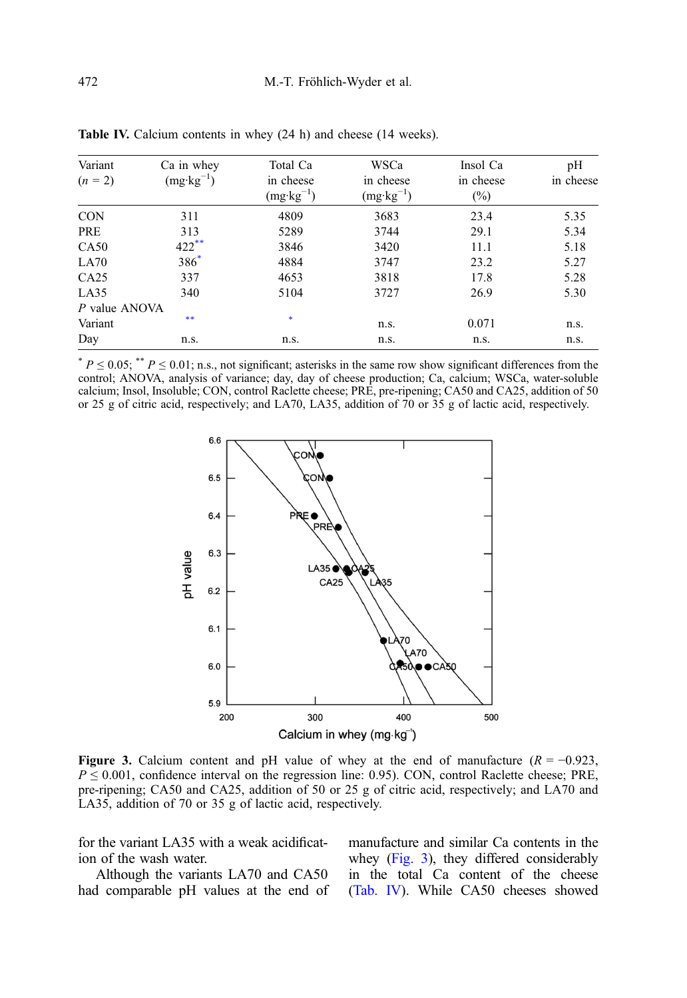| Variant<br>$(n = 2)$ | Ca in whey<br>$(mg \cdot kg^{-1})$ | Total Ca<br>in cheese<br>$(mg \cdot kg^{-1})$ | WSCa<br>in cheese<br>$(mg \cdot kg^{-1})$ | Insol Ca<br>in cheese<br>$(\%)$ | pH<br>in cheese |
|----------------------|------------------------------------|-----------------------------------------------|-------------------------------------------|---------------------------------|-----------------|
| <b>CON</b>           | 311                                | 4809                                          | 3683                                      | 23.4                            | 5.35            |
| PRE                  | 313                                | 5289                                          | 3744                                      | 29.1                            | 5.34            |
| CA50                 | $422$ **                           | 3846                                          | 3420                                      | 11.1                            | 5.18            |
| LA70                 | $386^*$                            | 4884                                          | 3747                                      | 23.2                            | 5.27            |
| CA25                 | 337                                | 4653                                          | 3818                                      | 17.8                            | 5.28            |
| LA35                 | 340                                | 5104                                          | 3727                                      | 26.9                            | 5.30            |
| P value ANOVA        |                                    |                                               |                                           |                                 |                 |
| Variant              | **                                 | $\ast$                                        | n.s.                                      | 0.071                           | n.s.            |
| Day                  | n.s.                               | n.s.                                          | n.s.                                      | n.s.                            | n.s.            |

<span id="page-9-0"></span>Table IV. Calcium contents in whey (24 h) and cheese (14 weeks).

 $* P \le 0.05;$   $* P \le 0.01$ ; n.s., not significant; asterisks in the same row show significant differences from the control; ANOVA, analysis of variance; day, day of cheese production; Ca, calcium; WSCa, water-soluble calcium; Insol, Insoluble; CON, control Raclette cheese; PRE, pre-ripening; CA50 and CA25, addition of 50 or 25 g of citric acid, respectively; and LA70, LA35, addition of 70 or 35 g of lactic acid, respectively.



Figure 3. Calcium content and pH value of whey at the end of manufacture  $(R = -0.923$ ,  $P \le 0.001$ , confidence interval on the regression line: 0.95). CON, control Raclette cheese; PRE, pre-ripening; CA50 and CA25, addition of 50 or 25 g of citric acid, respectively; and LA70 and LA35, addition of 70 or 35 g of lactic acid, respectively.

for the variant LA35 with a weak acidification of the wash water.

Although the variants LA70 and CA50 had comparable pH values at the end of manufacture and similar Ca contents in the whey (Fig. 3), they differed considerably in the total Ca content of the cheese (Tab. IV). While CA50 cheeses showed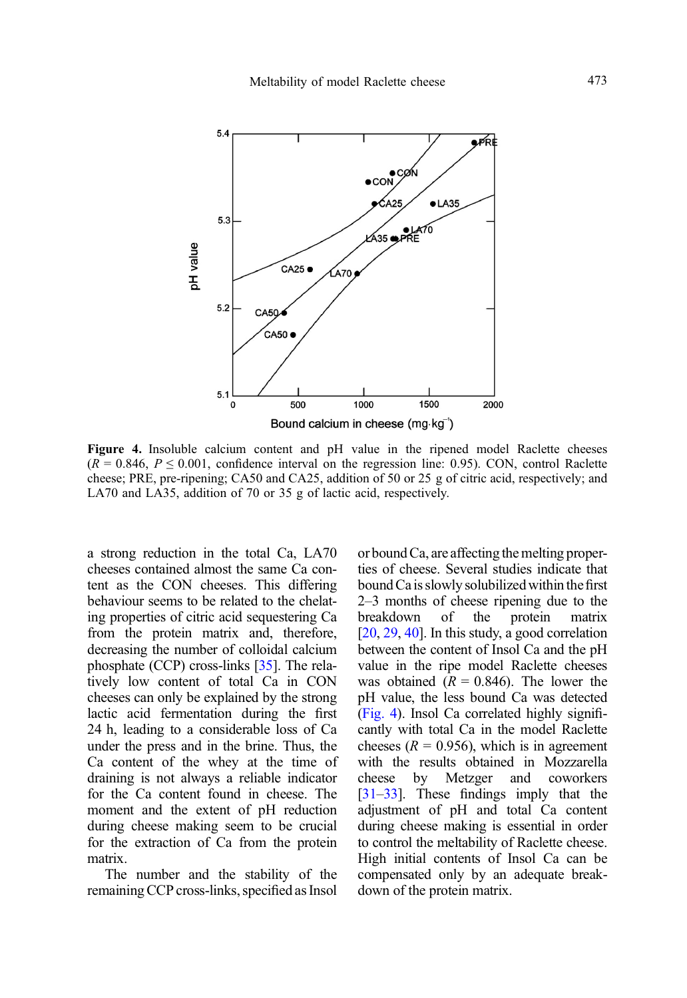

Figure 4. Insoluble calcium content and pH value in the ripened model Raclette cheeses  $(R = 0.846, P \le 0.001$ , confidence interval on the regression line: 0.95). CON, control Raclette cheese; PRE, pre-ripening; CA50 and CA25, addition of 50 or 25 g of citric acid, respectively; and LA70 and LA35, addition of 70 or 35 g of lactic acid, respectively.

a strong reduction in the total Ca, LA70 cheeses contained almost the same Ca content as the CON cheeses. This differing behaviour seems to be related to the chelating properties of citric acid sequestering Ca from the protein matrix and, therefore, decreasing the number of colloidal calcium phosphate (CCP) cross-links [\[35\]](#page-20-0). The relatively low content of total Ca in CON cheeses can only be explained by the strong lactic acid fermentation during the first 24 h, leading to a considerable loss of Ca under the press and in the brine. Thus, the Ca content of the whey at the time of draining is not always a reliable indicator for the Ca content found in cheese. The moment and the extent of pH reduction during cheese making seem to be crucial for the extraction of Ca from the protein matrix.

The number and the stability of the remaining CCP cross-links, specified as Insol or bound  $Ca$ , are affecting the melting properties of cheese. Several studies indicate that bound Ca is slowly solubilized within thefirst 2–3 months of cheese ripening due to the breakdown of the protein matrix [[20,](#page-19-0) [29,](#page-19-0) [40](#page-20-0)]. In this study, a good correlation between the content of Insol Ca and the pH value in the ripe model Raclette cheeses was obtained ( $R = 0.846$ ). The lower the pH value, the less bound Ca was detected (Fig. 4). Insol Ca correlated highly significantly with total Ca in the model Raclette cheeses ( $R = 0.956$ ), which is in agreement with the results obtained in Mozzarella cheese by Metzger and coworkers [[31](#page-19-0)–[33](#page-19-0)]. These findings imply that the adjustment of pH and total Ca content during cheese making is essential in order to control the meltability of Raclette cheese. High initial contents of Insol Ca can be compensated only by an adequate breakdown of the protein matrix.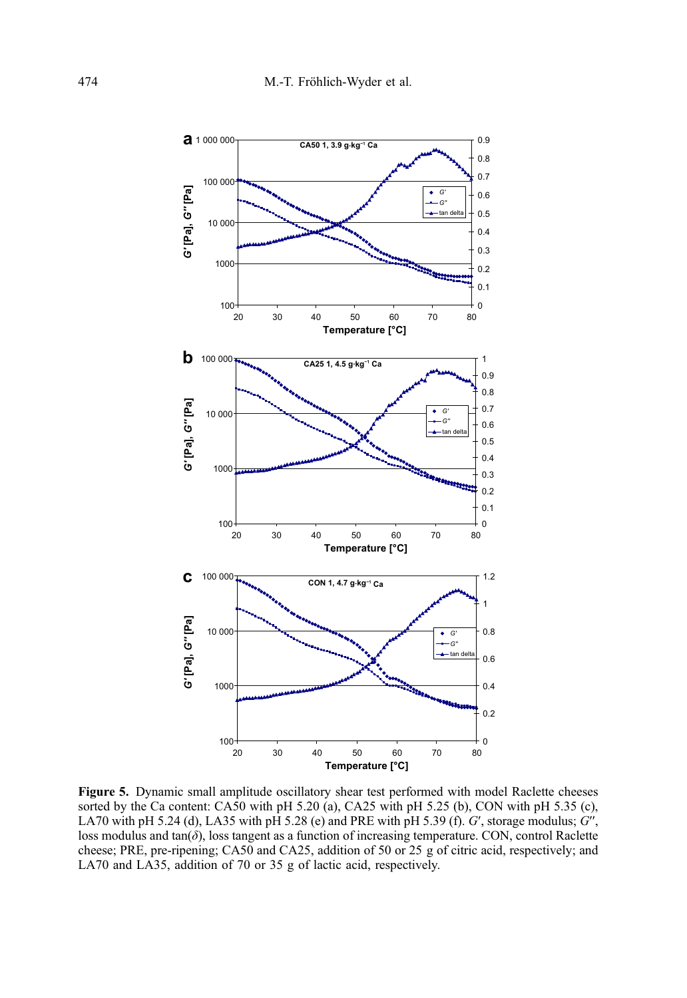<span id="page-11-0"></span>

Figure 5. Dynamic small amplitude oscillatory shear test performed with model Raclette cheeses sorted by the Ca content: CA50 with pH 5.20 (a), CA25 with pH 5.25 (b), CON with pH 5.35 (c), LA70 with pH 5.24 (d), LA35 with pH 5.28 (e) and PRE with pH 5.39 (f).  $G'$ , storage modulus;  $G''$ , loss modulus and tan $(\delta)$ , loss tangent as a function of increasing temperature. CON, control Raclette cheese; PRE, pre-ripening; CA50 and CA25, addition of 50 or 25 g of citric acid, respectively; and LA70 and LA35, addition of 70 or 35 g of lactic acid, respectively.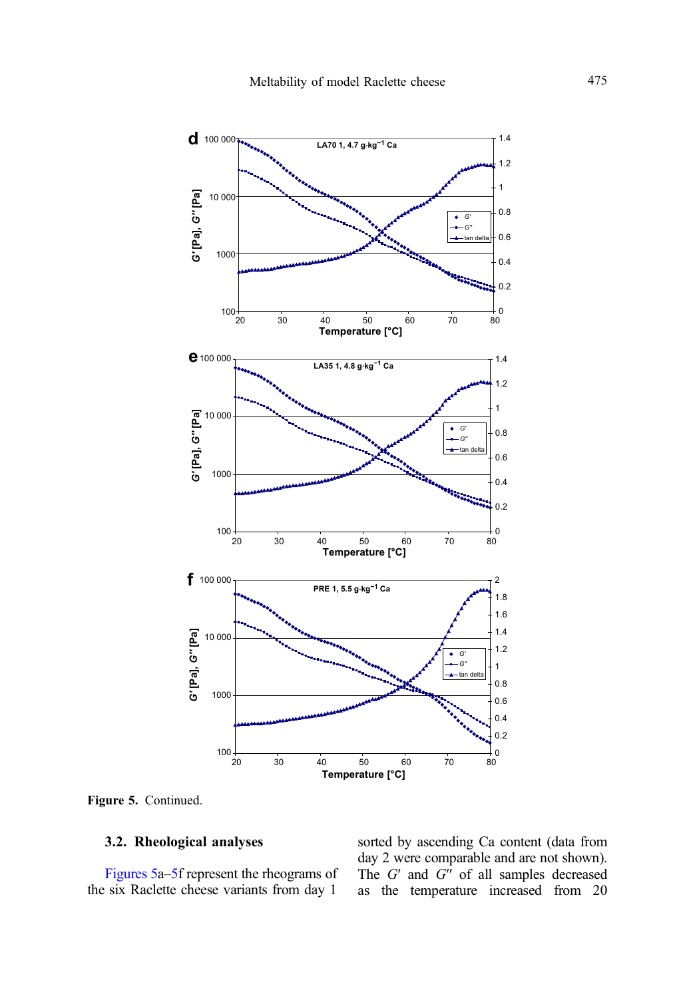

Figure 5. Continued.

## 3.2. Rheological analyses

[Figures 5](#page-11-0)a–[5](#page-11-0)f represent the rheograms of the six Raclette cheese variants from day 1

sorted by ascending Ca content (data from day 2 were comparable and are not shown). The  $G'$  and  $G''$  of all samples decreased as the temperature increased from 20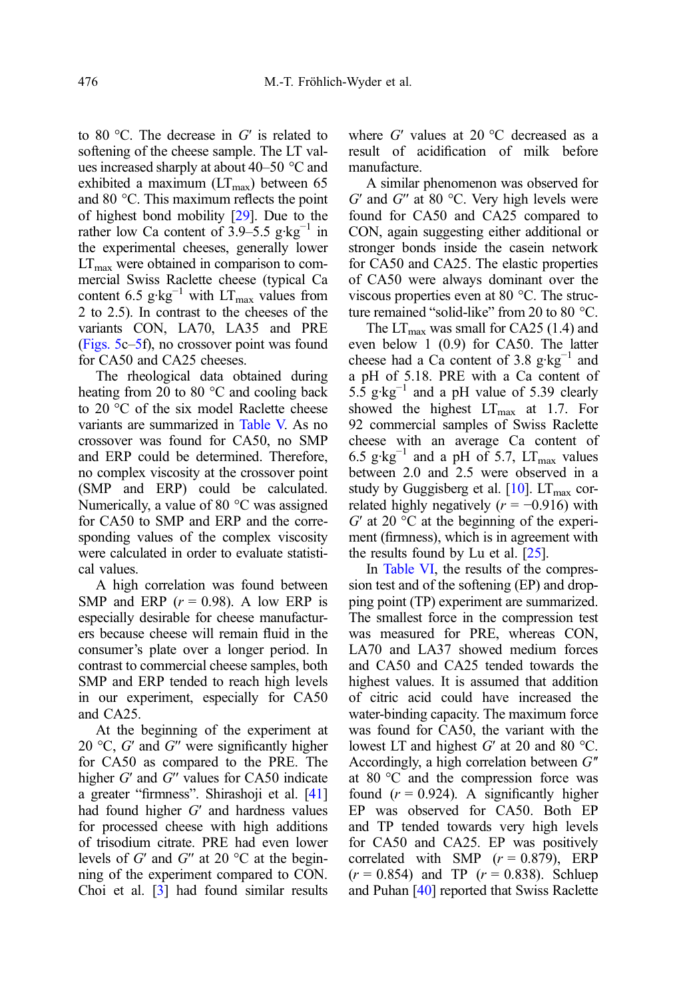to 80 °C. The decrease in  $G'$  is related to softening of the cheese sample. The LT values increased sharply at about 40–50 °C and exhibited a maximum  $(LT<sub>max</sub>)$  between 65 and 80 °C. This maximum reflects the point of highest bond mobility [\[29](#page-19-0)]. Due to the rather low Ca content of 3.9–5.5 g·kg<sup>-1</sup> in the experimental cheeses, generally lower  $LT<sub>max</sub>$  were obtained in comparison to commercial Swiss Raclette cheese (typical Ca content 6.5 g·kg<sup>-1</sup> with LT<sub>max</sub> values from 2 to 2.5). In contrast to the cheeses of the variants CON, LA70, LA35 and PRE [\(Figs. 5c](#page-11-0)–[5f](#page-11-0)), no crossover point was found for CA50 and CA25 cheeses.

The rheological data obtained during heating from 20 to 80 °C and cooling back to 20 °C of the six model Raclette cheese variants are summarized in [Table V.](#page-14-0) As no crossover was found for CA50, no SMP and ERP could be determined. Therefore, no complex viscosity at the crossover point (SMP and ERP) could be calculated. Numerically, a value of 80 °C was assigned for CA50 to SMP and ERP and the corresponding values of the complex viscosity were calculated in order to evaluate statistical values.

A high correlation was found between SMP and ERP  $(r = 0.98)$ . A low ERP is especially desirable for cheese manufacturers because cheese will remain fluid in the consumer's plate over a longer period. In contrast to commercial cheese samples, both SMP and ERP tended to reach high levels in our experiment, especially for CA50 and CA25.

At the beginning of the experiment at 20 °C,  $G'$  and  $G''$  were significantly higher for CA50 as compared to the PRE. The higher G' and G" values for CA50 indicate a greater "firmness". Shirashoji et al. [\[41](#page-20-0)] had found higher G′ and hardness values for processed cheese with high additions of trisodium citrate. PRE had even lower levels of  $G'$  and  $G''$  at 20 °C at the beginning of the experiment compared to CON. Choi et al. [\[3\]](#page-18-0) had found similar results

where  $G'$  values at 20 °C decreased as a result of acidification of milk before manufacture.

A similar phenomenon was observed for  $G'$  and  $G''$  at 80 °C. Very high levels were found for CA50 and CA25 compared to CON, again suggesting either additional or stronger bonds inside the casein network for CA50 and CA25. The elastic properties of CA50 were always dominant over the viscous properties even at 80 °C. The structure remained "solid-like" from 20 to 80 °C.

The  $LT_{\text{max}}$  was small for CA25 (1.4) and even below 1 (0.9) for CA50. The latter cheese had a Ca content of 3.8 g·kg<sup>-1</sup> and a pH of 5.18. PRE with a Ca content of 5.5 g·kg<sup>-1</sup> and a pH value of 5.39 clearly showed the highest  $LT_{\text{max}}$  at 1.7. For 92 commercial samples of Swiss Raclette cheese with an average Ca content of 6.5 g·kg<sup>-1</sup> and a pH of 5.7, LT<sub>max</sub> values between 2.0 and 2.5 were observed in a study by Guggisberg et al.  $[10]$  $[10]$  $[10]$ . LT<sub>max</sub> correlated highly negatively ( $r = -0.916$ ) with  $G'$  at 20 °C at the beginning of the experiment (firmness), which is in agreement with the results found by Lu et al. [\[25\]](#page-19-0).

In [Table VI,](#page-15-0) the results of the compression test and of the softening (EP) and dropping point (TP) experiment are summarized. The smallest force in the compression test was measured for PRE, whereas CON, LA70 and LA37 showed medium forces and CA50 and CA25 tended towards the highest values. It is assumed that addition of citric acid could have increased the water-binding capacity. The maximum force was found for CA50, the variant with the lowest LT and highest  $G'$  at 20 and 80 °C. Accordingly, a high correlation between  $G''$ at 80 °C and the compression force was found  $(r = 0.924)$ . A significantly higher EP was observed for CA50. Both EP and TP tended towards very high levels for CA50 and CA25. EP was positively correlated with SMP  $(r = 0.879)$ , ERP  $(r = 0.854)$  and TP  $(r = 0.838)$ . Schluep and Puhan [\[40\]](#page-20-0) reported that Swiss Raclette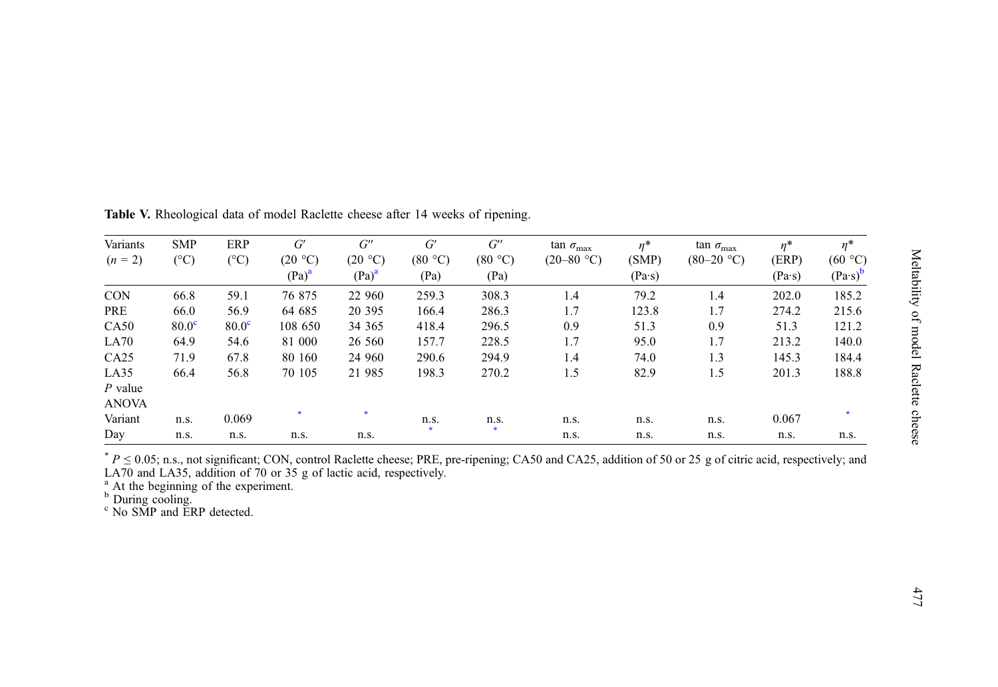| ١<br>ŗ<br>٦            |
|------------------------|
| "תה הדד                |
| j<br><b>CONGRATION</b> |
| $\frac{1}{2}$          |

| Variants     | <b>SMP</b>        | ERP               | G'       | $G^{\prime\prime}$ | G'      | $G^{\prime\prime}$ | $\tan \sigma_{\text{max}}$ | $\eta^*$      | $\tan \sigma_{\text{max}}$ | $\eta^*$      | $\eta^*$        |
|--------------|-------------------|-------------------|----------|--------------------|---------|--------------------|----------------------------|---------------|----------------------------|---------------|-----------------|
| $(n = 2)$    | $({}^{\circ}C)$   | $(^\circ C)$      | (20 °C)  | (20 °C)            | (80 °C) | (80 °C)            | $(20-80 °C)$               | (SMP)         | $(80-20 °C)$               | (ERP)         | (60 °C)         |
|              |                   |                   | $(Pa)^a$ | $(Pa)^a$           | (Pa)    | (Pa)               |                            | $(Pa\cdot s)$ |                            | $(Pa\cdot s)$ | $(Pa\cdot s)^b$ |
| <b>CON</b>   | 66.8              | 59.1              | 76 875   | 22 960             | 259.3   | 308.3              | 1.4                        | 79.2          | 1.4                        | 202.0         | 185.2           |
| PRE          | 66.0              | 56.9              | 64 685   | 20 395             | 166.4   | 286.3              | 1.7                        | 123.8         | 1.7                        | 274.2         | 215.6           |
| CA50         | 80.0 <sup>c</sup> | 80.0 <sup>c</sup> | 108 650  | 34 365             | 418.4   | 296.5              | 0.9                        | 51.3          | 0.9                        | 51.3          | 121.2           |
| LA70         | 64.9              | 54.6              | 81 000   | 26 560             | 157.7   | 228.5              | 1.7                        | 95.0          | 1.7                        | 213.2         | 140.0           |
| CA25         | 71.9              | 67.8              | 80 160   | 24 960             | 290.6   | 294.9              | 1.4                        | 74.0          | 1.3                        | 145.3         | 184.4           |
| LA35         | 66.4              | 56.8              | 70 105   | 21 985             | 198.3   | 270.2              | 1.5                        | 82.9          | 1.5                        | 201.3         | 188.8           |
| $P$ value    |                   |                   |          |                    |         |                    |                            |               |                            |               |                 |
| <b>ANOVA</b> |                   |                   |          |                    |         |                    |                            |               |                            |               |                 |
| Variant      | n.s.              | 0.069             |          | $\ast$             | n.s.    | n.s.               | n.s.                       | n.s.          | n.s.                       | 0.067         |                 |
| Day          | n.s.              | n.s.              | n.s.     | n.s.               |         | $\bullet$          | n.s.                       | n.s.          | n.s.                       | n.s.          | n.s.            |

<span id="page-14-0"></span>Table V. Rheological data of model Raclette cheese after 14 weeks of ripening.

 $* P \le 0.05$ ; n.s., not significant; CON, control Raclette cheese; PRE, pre-ripening; CA50 and CA25, addition of 50 or 25 g of citric acid, respectively; and LA70 and LA35, addition of 70 or 35 g of lactic acid, respectively.<br><sup>a</sup> At the beginning of the experiment.<br><sup>b</sup> During cooling.<br><sup>c</sup> No SMP and ERP detected.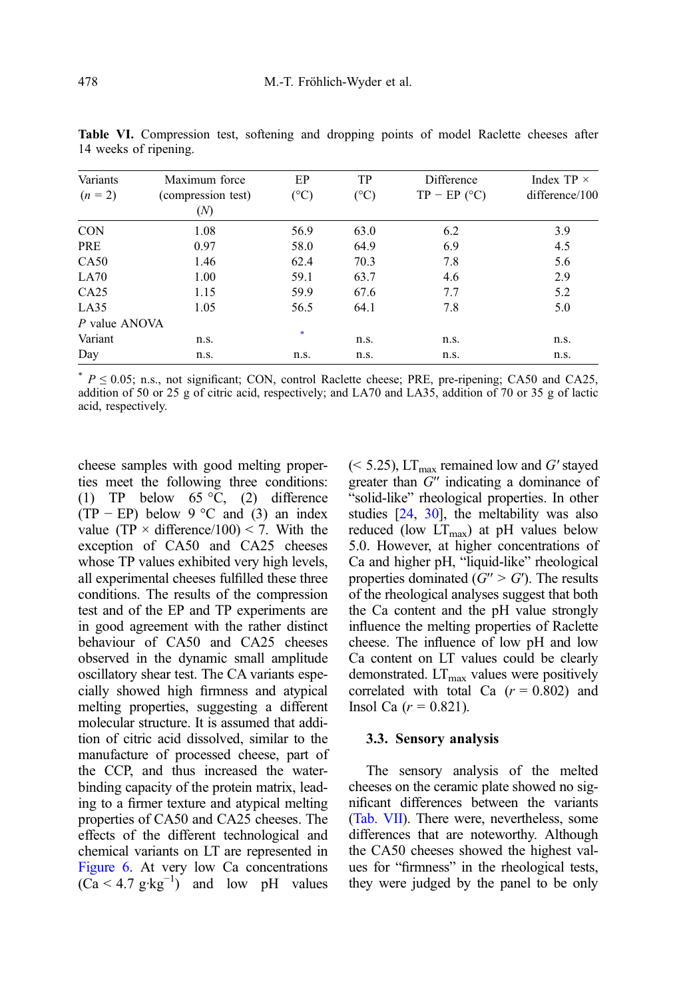| Variants      | Maximum force      | EP           | TP           | Difference     | Index TP $\times$ |  |
|---------------|--------------------|--------------|--------------|----------------|-------------------|--|
| $(n = 2)$     | (compression test) | $(^\circ C)$ | $(^\circ C)$ | $TP - EP (°C)$ | difference/100    |  |
|               | (N)                |              |              |                |                   |  |
| <b>CON</b>    | 1.08               | 56.9         | 63.0         | 6.2            | 3.9               |  |
| PRE           | 0.97               | 58.0         | 64.9         | 6.9            | 4.5               |  |
| CA50          | 1.46               | 62.4         | 70.3         | 7.8            | 5.6               |  |
| LA70          | 1.00               | 59.1         | 63.7         | 4.6            | 2.9               |  |
| CA25          | 1.15               | 59.9         | 67.6         | 7.7            | 5.2               |  |
| LA35          | 1.05               | 56.5         | 64.1         | 7.8            | 5.0               |  |
| P value ANOVA |                    |              |              |                |                   |  |
| Variant       | n.s.               | $\ast$       | n.s.         | n.s.           | n.s.              |  |
| Day           | n.s.               | n.s.         | n.s.         | n.s.           | n.s.              |  |

<span id="page-15-0"></span>Table VI. Compression test, softening and dropping points of model Raclette cheeses after 14 weeks of ripening.

 $*$   $P \le 0.05$ ; n.s., not significant; CON, control Raclette cheese; PRE, pre-ripening; CA50 and CA25, addition of 50 or 25 g of citric acid, respectively; and LA70 and LA35, addition of 70 or 35 g of lactic acid, respectively.

cheese samples with good melting properties meet the following three conditions: (1) TP below 65 °C, (2) difference  $(TP - EP)$  below 9 °C and (3) an index value (TP  $\times$  difference/100)  $<$  7. With the exception of CA50 and CA25 cheeses whose TP values exhibited very high levels, all experimental cheeses fulfilled these three conditions. The results of the compression test and of the EP and TP experiments are in good agreement with the rather distinct behaviour of CA50 and CA25 cheeses observed in the dynamic small amplitude oscillatory shear test. The CA variants especially showed high firmness and atypical melting properties, suggesting a different molecular structure. It is assumed that addition of citric acid dissolved, similar to the manufacture of processed cheese, part of the CCP, and thus increased the waterbinding capacity of the protein matrix, leading to a firmer texture and atypical melting properties of CA50 and CA25 cheeses. The effects of the different technological and chemical variants on LT are represented in [Figure 6](#page-16-0). At very low Ca concentrations  $(Ca < 4.7 \text{ g·kg}^{-1})$  and low pH values

 $(< 5.25)$ , LT<sub>max</sub> remained low and G' stayed greater than G′′ indicating a dominance of "solid-like" rheological properties. In other studies [\[24,](#page-19-0) [30\]](#page-19-0), the meltability was also reduced (low  $LT_{\text{max}}$ ) at pH values below 5.0. However, at higher concentrations of Ca and higher pH, "liquid-like" rheological properties dominated  $(G'' > G')$ . The results of the rheological analyses suggest that both the Ca content and the pH value strongly influence the melting properties of Raclette cheese. The influence of low pH and low Ca content on LT values could be clearly demonstrated.  $LT_{\text{max}}$  values were positively correlated with total Ca  $(r = 0.802)$  and Insol Ca  $(r = 0.821)$ .

#### 3.3. Sensory analysis

The sensory analysis of the melted cheeses on the ceramic plate showed no significant differences between the variants ([Tab. VII](#page-17-0)). There were, nevertheless, some differences that are noteworthy. Although the CA50 cheeses showed the highest values for "firmness" in the rheological tests, they were judged by the panel to be only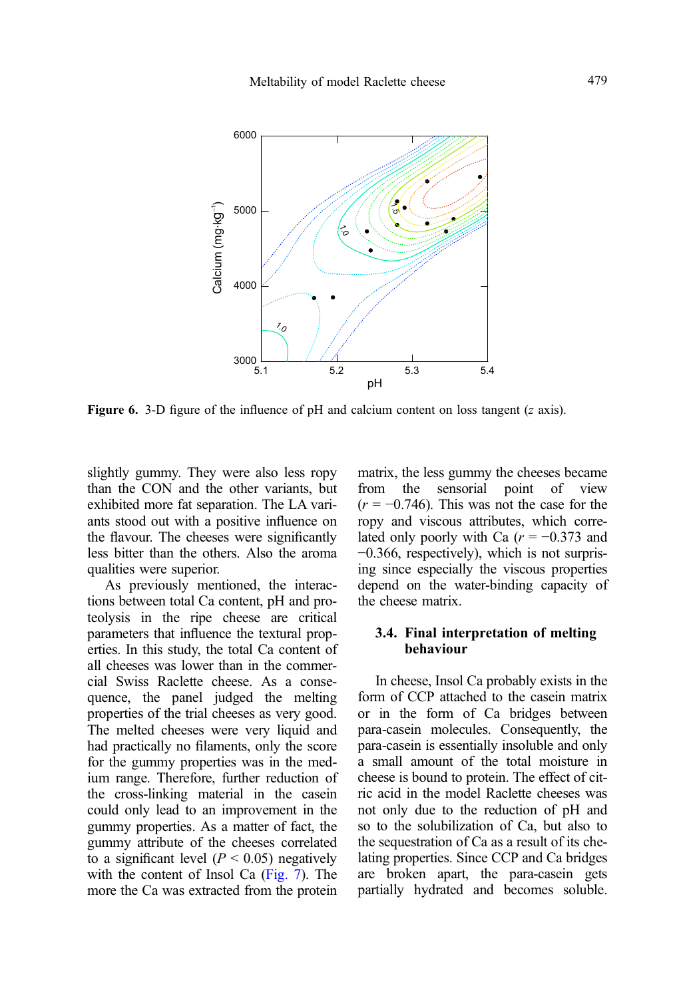<span id="page-16-0"></span>

Figure 6. 3-D figure of the influence of pH and calcium content on loss tangent  $(z \text{ axis})$ .

slightly gummy. They were also less ropy than the CON and the other variants, but exhibited more fat separation. The LA variants stood out with a positive influence on the flavour. The cheeses were significantly less bitter than the others. Also the aroma qualities were superior.

As previously mentioned, the interactions between total Ca content, pH and proteolysis in the ripe cheese are critical parameters that influence the textural properties. In this study, the total Ca content of all cheeses was lower than in the commercial Swiss Raclette cheese. As a consequence, the panel judged the melting properties of the trial cheeses as very good. The melted cheeses were very liquid and had practically no filaments, only the score for the gummy properties was in the medium range. Therefore, further reduction of the cross-linking material in the casein could only lead to an improvement in the gummy properties. As a matter of fact, the gummy attribute of the cheeses correlated to a significant level ( $P < 0.05$ ) negatively with the content of Insol Ca [\(Fig. 7](#page-17-0)). The more the Ca was extracted from the protein matrix, the less gummy the cheeses became from the sensorial point of view  $(r = -0.746)$ . This was not the case for the ropy and viscous attributes, which correlated only poorly with Ca  $(r = -0.373$  and −0.366, respectively), which is not surprising since especially the viscous properties depend on the water-binding capacity of the cheese matrix.

## 3.4. Final interpretation of melting behaviour

In cheese, Insol Ca probably exists in the form of CCP attached to the casein matrix or in the form of Ca bridges between para-casein molecules. Consequently, the para-casein is essentially insoluble and only a small amount of the total moisture in cheese is bound to protein. The effect of citric acid in the model Raclette cheeses was not only due to the reduction of pH and so to the solubilization of Ca, but also to the sequestration of Ca as a result of its chelating properties. Since CCP and Ca bridges are broken apart, the para-casein gets partially hydrated and becomes soluble.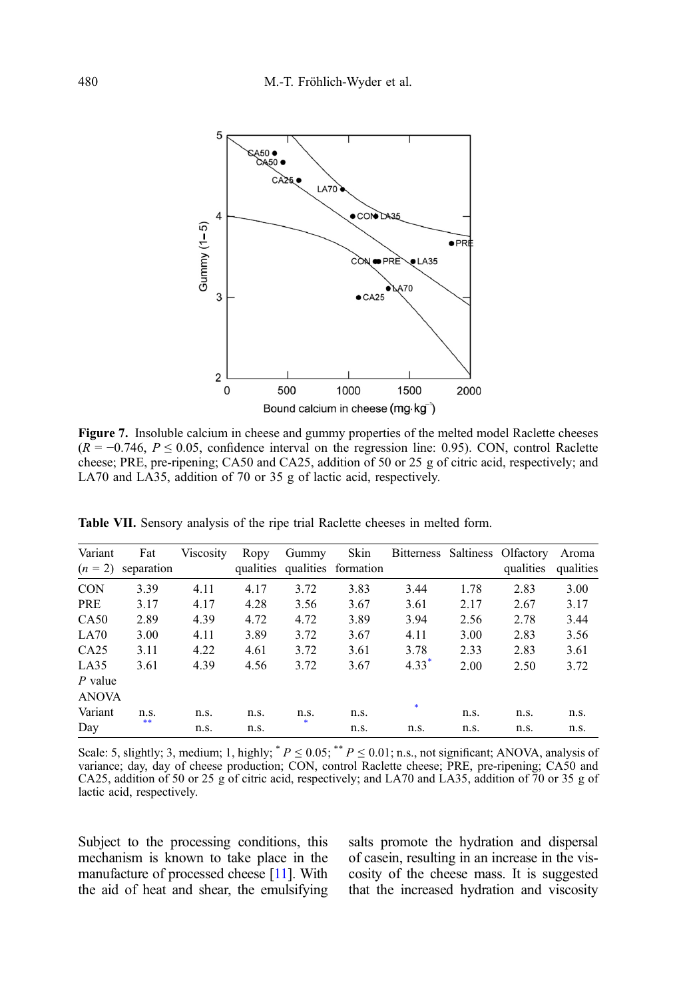<span id="page-17-0"></span>

Figure 7. Insoluble calcium in cheese and gummy properties of the melted model Raclette cheeses  $(R = -0.746, P \le 0.05,$  confidence interval on the regression line: 0.95). CON, control Raclette cheese; PRE, pre-ripening; CA50 and CA25, addition of 50 or 25 g of citric acid, respectively; and LA70 and LA35, addition of 70 or 35 g of lactic acid, respectively.

| Variant<br>$(n = 2)$      | Fat<br>separation | Viscosity | Ropy<br>qualities | Gummy | Skin<br>qualities formation | Bitterness Saltiness Olfactory |      | qualities | Aroma<br>qualities |
|---------------------------|-------------------|-----------|-------------------|-------|-----------------------------|--------------------------------|------|-----------|--------------------|
| <b>CON</b>                | 3.39              | 4.11      | 4.17              | 3.72  | 3.83                        | 3.44                           | 1.78 | 2.83      | 3.00               |
| PRE                       | 3.17              | 4.17      | 4.28              | 3.56  | 3.67                        | 3.61                           | 2.17 | 2.67      | 3.17               |
| CA50                      | 2.89              | 4.39      | 4.72              | 4.72  | 3.89                        | 3.94                           | 2.56 | 2.78      | 3.44               |
| LA70                      | 3.00              | 4.11      | 3.89              | 3.72  | 3.67                        | 4.11                           | 3.00 | 2.83      | 3.56               |
| CA25                      | 3.11              | 4.22      | 4.61              | 3.72  | 3.61                        | 3.78                           | 2.33 | 2.83      | 3.61               |
| LA35                      | 3.61              | 4.39      | 4.56              | 3.72  | 3.67                        | $4.33$ <sup>*</sup>            | 2.00 | 2.50      | 3.72               |
| $P$ value<br><b>ANOVA</b> |                   |           |                   |       |                             |                                |      |           |                    |
|                           |                   |           |                   |       |                             | $\ast$                         |      |           |                    |
| Variant                   | n.s.<br>**        | n.s.      | n.s.              | n.s.  | n.s.                        |                                | n.s. | n.s.      | n.s.               |
| Day                       |                   | n.s.      | n.s.              |       | n.s.                        | n.s.                           | n.s. | n.s.      | n.s.               |

Table VII. Sensory analysis of the ripe trial Raclette cheeses in melted form.

Scale: 5, slightly; 3, medium; 1, highly;  $* P \le 0.05$ ;  $* P \le 0.01$ ; n.s., not significant; ANOVA, analysis of variance; day, day of cheese production; CON, control Raclette cheese; PRE, pre-ripening; CA50 and CA25, addition of 50 or 25 g of citric acid, respectively; and LA70 and LA35, addition of 70 or 35 g of lactic acid, respectively.

Subject to the processing conditions, this mechanism is known to take place in the manufacture of processed cheese [[11](#page-19-0)]. With the aid of heat and shear, the emulsifying salts promote the hydration and dispersal of casein, resulting in an increase in the viscosity of the cheese mass. It is suggested that the increased hydration and viscosity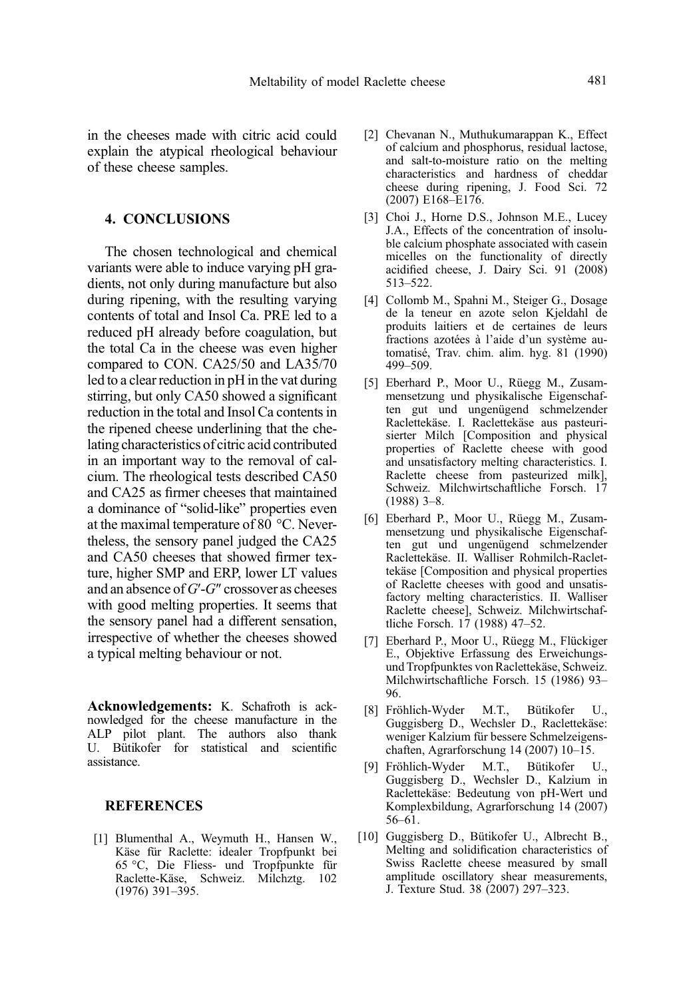<span id="page-18-0"></span>in the cheeses made with citric acid could explain the atypical rheological behaviour of these cheese samples.

#### 4. CONCLUSIONS

The chosen technological and chemical variants were able to induce varying pH gradients, not only during manufacture but also during ripening, with the resulting varying contents of total and Insol Ca. PRE led to a reduced pH already before coagulation, but the total Ca in the cheese was even higher compared to CON. CA25/50 and LA35/70 led to a clear reduction in pH in the vat during stirring, but only CA50 showed a significant reduction in the total and Insol Ca contents in the ripened cheese underlining that the chelating characteristics of citric acid contributed in an important way to the removal of calcium. The rheological tests described CA50 and CA25 as firmer cheeses that maintained a dominance of "solid-like" properties even at the maximal temperature of 80 °C. Nevertheless, the sensory panel judged the CA25 and CA50 cheeses that showed firmer texture, higher SMP and ERP, lower LT values and an absence of G′-G″ crossover as cheeses with good melting properties. It seems that the sensory panel had a different sensation, irrespective of whether the cheeses showed a typical melting behaviour or not.

Acknowledgements: K. Schafroth is acknowledged for the cheese manufacture in the ALP pilot plant. The authors also thank U. Bütikofer for statistical and scientific assistance.

#### **REFERENCES**

[1] Blumenthal A., Weymuth H., Hansen W., Käse für Raclette: idealer Tropfpunkt bei 65 °C, Die Fliess- und Tropfpunkte für Raclette-Käse, Schweiz. Milchztg. 102 (1976) 391–395.

- [2] Chevanan N., Muthukumarappan K., Effect of calcium and phosphorus, residual lactose, and salt-to-moisture ratio on the melting characteristics and hardness of cheddar cheese during ripening, J. Food Sci. 72 (2007) E168–E176.
- [3] Choi J., Horne D.S., Johnson M.E., Lucey J.A., Effects of the concentration of insoluble calcium phosphate associated with casein micelles on the functionality of directly acidified cheese, J. Dairy Sci. 91 (2008) 513–522.
- [4] Collomb M., Spahni M., Steiger G., Dosage de la teneur en azote selon Kjeldahl de produits laitiers et de certaines de leurs fractions azotées à l'aide d'un système automatisé, Trav. chim. alim. hyg. 81 (1990) 499–509.
- [5] Eberhard P., Moor U., Rüegg M., Zusammensetzung und physikalische Eigenschaften gut und ungenügend schmelzender Raclettekäse. I. Raclettekäse aus pasteurisierter Milch [Composition and physical properties of Raclette cheese with good and unsatisfactory melting characteristics. I. Raclette cheese from pasteurized milk], Schweiz. Milchwirtschaftliche Forsch. 17 (1988) 3–8.
- [6] Eberhard P., Moor U., Rüegg M., Zusammensetzung und physikalische Eigenschaften gut und ungenügend schmelzender Raclettekäse. II. Walliser Rohmilch-Raclettekäse [Composition and physical properties of Raclette cheeses with good and unsatisfactory melting characteristics. II. Walliser Raclette cheese], Schweiz. Milchwirtschaftliche Forsch. 17 (1988) 47–52.
- [7] Eberhard P., Moor U., Rüegg M., Flückiger E., Objektive Erfassung des Erweichungsund Tropfpunktes von Raclettekäse, Schweiz. Milchwirtschaftliche Forsch. 15 (1986) 93– 96.
- [8] Fröhlich-Wyder M.T., Bütikofer U., Guggisberg D., Wechsler D., Raclettekäse: weniger Kalzium für bessere Schmelzeigenschaften, Agrarforschung 14 (2007) 10–15.
- [9] Fröhlich-Wyder M.T., Bütikofer U., Guggisberg D., Wechsler D., Kalzium in Raclettekäse: Bedeutung von pH-Wert und Komplexbildung, Agrarforschung 14 (2007) 56–61.
- [10] Guggisberg D., Bütikofer U., Albrecht B., Melting and solidification characteristics of Swiss Raclette cheese measured by small amplitude oscillatory shear measurements, J. Texture Stud. 38 (2007) 297–323.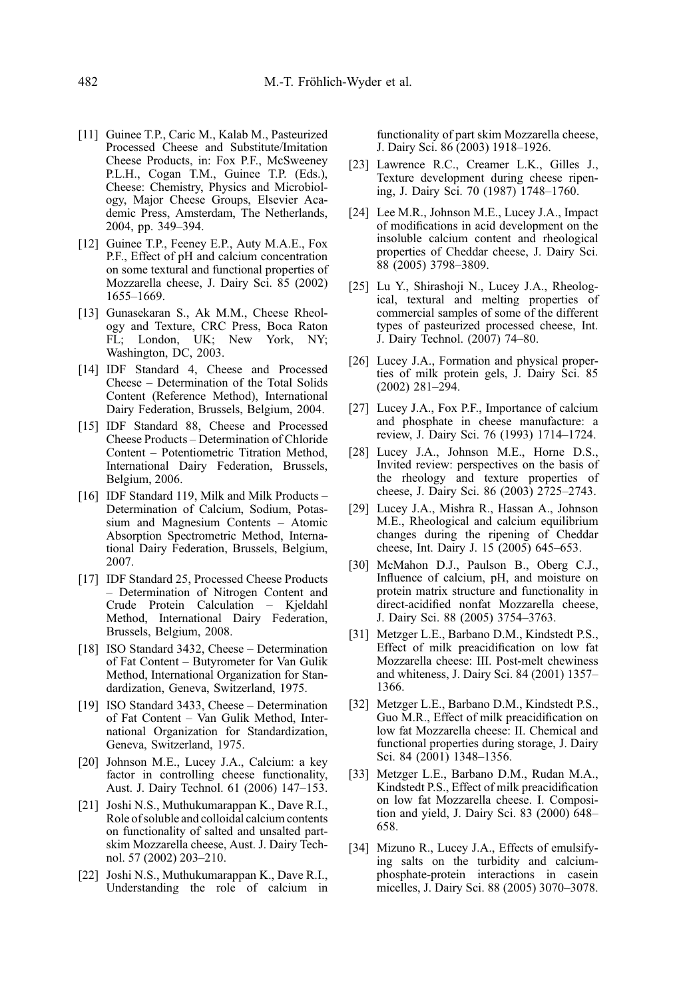- <span id="page-19-0"></span>[11] Guinee T.P., Caric M., Kalab M., Pasteurized Processed Cheese and Substitute/Imitation Cheese Products, in: Fox P.F., McSweeney P.L.H., Cogan T.M., Guinee T.P. (Eds.), Cheese: Chemistry, Physics and Microbiology, Major Cheese Groups, Elsevier Academic Press, Amsterdam, The Netherlands, 2004, pp. 349–394.
- [12] Guinee T.P., Feeney E.P., Auty M.A.E., Fox P.F., Effect of pH and calcium concentration on some textural and functional properties of Mozzarella cheese, J. Dairy Sci. 85 (2002) 1655–1669.
- [13] Gunasekaran S., Ak M.M., Cheese Rheology and Texture, CRC Press, Boca Raton FL; London, UK; New York, NY; Washington, DC, 2003.
- [14] IDF Standard 4, Cheese and Processed Cheese – Determination of the Total Solids Content (Reference Method), International Dairy Federation, Brussels, Belgium, 2004.
- [15] IDF Standard 88, Cheese and Processed Cheese Products – Determination of Chloride Content – Potentiometric Titration Method, International Dairy Federation, Brussels, Belgium, 2006.
- [16] IDF Standard 119, Milk and Milk Products Determination of Calcium, Sodium, Potassium and Magnesium Contents – Atomic Absorption Spectrometric Method, International Dairy Federation, Brussels, Belgium, 2007.
- [17] IDF Standard 25, Processed Cheese Products – Determination of Nitrogen Content and Crude Protein Calculation – Kjeldahl Method, International Dairy Federation, Brussels, Belgium, 2008.
- [18] ISO Standard 3432, Cheese Determination of Fat Content – Butyrometer for Van Gulik Method, International Organization for Standardization, Geneva, Switzerland, 1975.
- [19] ISO Standard 3433, Cheese Determination of Fat Content – Van Gulik Method, International Organization for Standardization, Geneva, Switzerland, 1975.
- [20] Johnson M.E., Lucey J.A., Calcium: a key factor in controlling cheese functionality, Aust. J. Dairy Technol. 61 (2006) 147–153.
- [21] Joshi N.S., Muthukumarappan K., Dave R.I., Role of soluble and colloidal calcium contents on functionality of salted and unsalted partskim Mozzarella cheese, Aust. J. Dairy Technol. 57 (2002) 203–210.
- [22] Joshi N.S., Muthukumarappan K., Dave R.I., Understanding the role of calcium in

functionality of part skim Mozzarella cheese, J. Dairy Sci. 86 (2003) 1918–1926.

- [23] Lawrence R.C., Creamer L.K., Gilles J., Texture development during cheese ripening, J. Dairy Sci. 70 (1987) 1748–1760.
- [24] Lee M.R., Johnson M.E., Lucey J.A., Impact of modifications in acid development on the insoluble calcium content and rheological properties of Cheddar cheese, J. Dairy Sci. 88 (2005) 3798–3809.
- [25] Lu Y., Shirashoji N., Lucey J.A., Rheological, textural and melting properties of commercial samples of some of the different types of pasteurized processed cheese, Int. J. Dairy Technol. (2007) 74–80.
- [26] Lucey J.A., Formation and physical properties of milk protein gels, J. Dairy Sci. 85 (2002) 281–294.
- [27] Lucey J.A., Fox P.F., Importance of calcium and phosphate in cheese manufacture: a review, J. Dairy Sci. 76 (1993) 1714–1724.
- [28] Lucey J.A., Johnson M.E., Horne D.S., Invited review: perspectives on the basis of the rheology and texture properties of cheese, J. Dairy Sci. 86 (2003) 2725–2743.
- [29] Lucey J.A., Mishra R., Hassan A., Johnson M.E., Rheological and calcium equilibrium changes during the ripening of Cheddar cheese, Int. Dairy J. 15 (2005) 645–653.
- [30] McMahon D.J., Paulson B., Oberg C.J., Influence of calcium, pH, and moisture on protein matrix structure and functionality in direct-acidified nonfat Mozzarella cheese, J. Dairy Sci. 88 (2005) 3754–3763.
- [31] Metzger L.E., Barbano D.M., Kindstedt P.S., Effect of milk preacidification on low fat Mozzarella cheese: III. Post-melt chewiness and whiteness, J. Dairy Sci. 84 (2001) 1357– 1366.
- [32] Metzger L.E., Barbano D.M., Kindstedt P.S., Guo M.R., Effect of milk preacidification on low fat Mozzarella cheese: II. Chemical and functional properties during storage, J. Dairy Sci. 84 (2001) 1348–1356.
- [33] Metzger L.E., Barbano D.M., Rudan M.A., Kindstedt P.S., Effect of milk preacidification on low fat Mozzarella cheese. I. Composition and yield, J. Dairy Sci. 83 (2000) 648– 658.
- [34] Mizuno R., Lucey J.A., Effects of emulsifying salts on the turbidity and calciumphosphate-protein interactions in casein micelles, J. Dairy Sci. 88 (2005) 3070–3078.